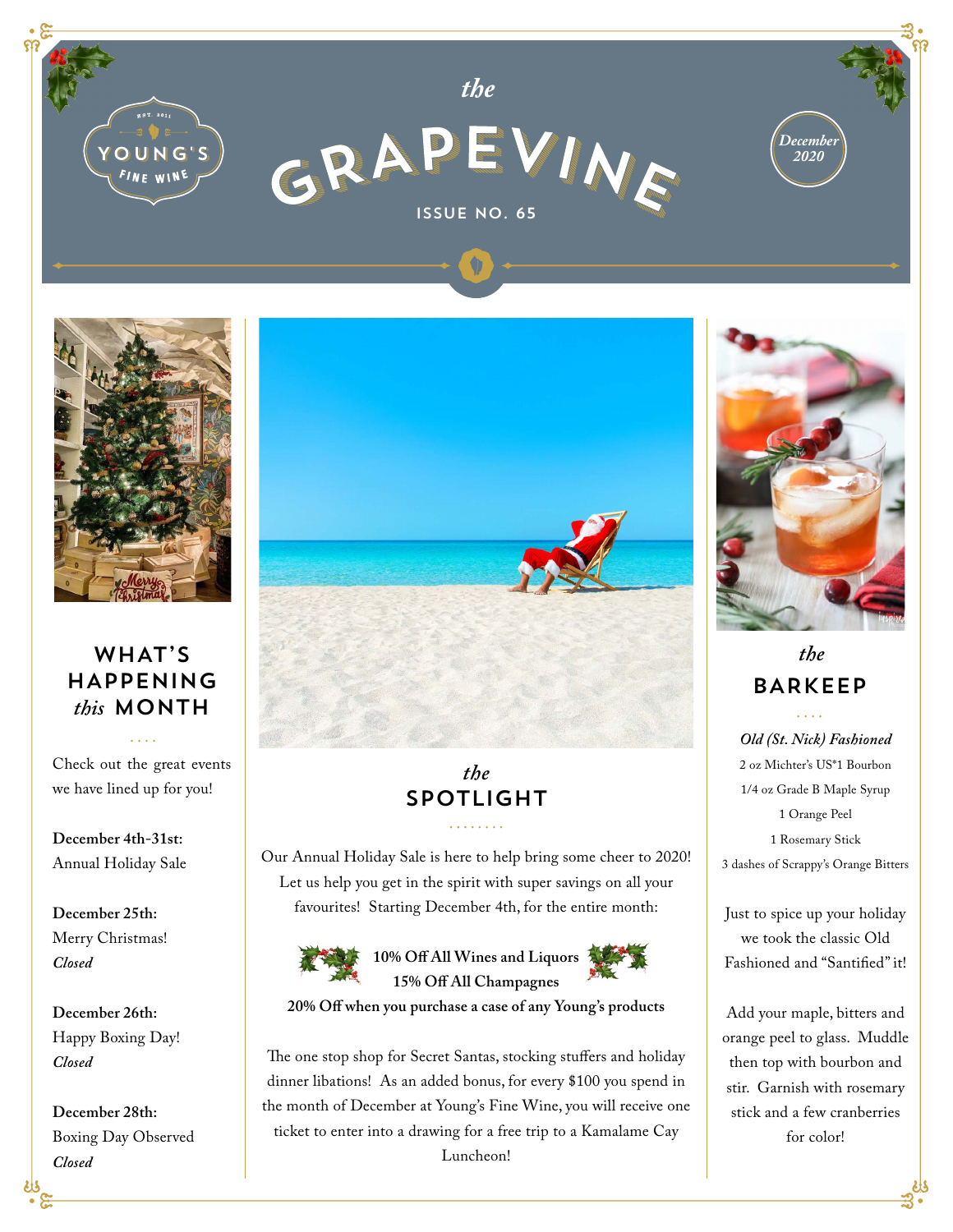



### WHAT'S HAPPENING *this* MONTH

Check out the great events we have lined up for you!

**December 4th-31st:**  Annual Holiday Sale

**December 25th:**  Merry Christmas! *Closed*

**December 26th:**  Happy Boxing Day! *Closed*

**December 28th:**  Boxing Day Observed *Closed*



## *the* SPOTLIGHT

Our Annual Holiday Sale is here to help bring some cheer to 2020! Let us help you get in the spirit with super savings on all your favourites! Starting December 4th, for the entire month:



**10% Off All Wines and Liquors 15% Off All Champagnes**

**20% Off when you purchase a case of any Young's products**

The one stop shop for Secret Santas, stocking stuffers and holiday dinner libations! As an added bonus, for every \$100 you spend in the month of December at Young's Fine Wine, you will receive one ticket to enter into a drawing for a free trip to a Kamalame Cay Luncheon!



# *the* BARKEEP

*Old (St. Nick) Fashioned* 2 oz Michter's US\*1 Bourbon 1/4 oz Grade B Maple Syrup 1 Orange Peel 1 Rosemary Stick 3 dashes of Scrappy's Orange Bitters

Just to spice up your holiday we took the classic Old Fashioned and "Santified" it!

Add your maple, bitters and orange peel to glass. Muddle then top with bourbon and stir. Garnish with rosemary stick and a few cranberries for color!